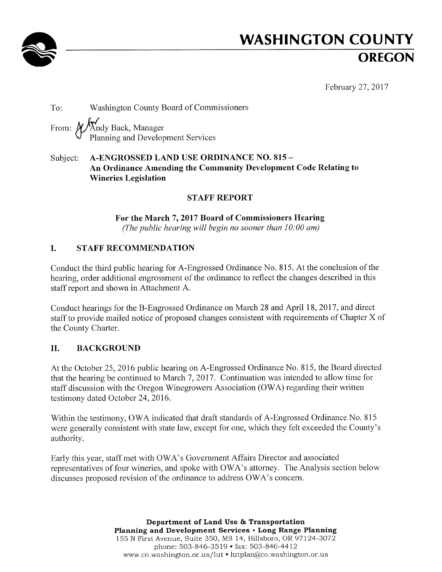

# **WASHINGTON COUNTY OREGON**

February 27, 2017

To: Washington County Board of Commissioners Andy Back, Manager<br>Planning and Development Services From:  $\chi$ 

#### A-ENGROSSED LAND USE ORDINANCE NO. 815 -Subject: An Ordinance Amending the Community Development Code Relating to **Wineries Legislation**

#### **STAFF REPORT**

For the March 7, 2017 Board of Commissioners Hearing (The public hearing will begin no sooner than  $10:00$  am)

#### L. **STAFF RECOMMENDATION**

Conduct the third public hearing for A-Engrossed Ordinance No. 815. At the conclusion of the hearing, order additional engrossment of the ordinance to reflect the changes described in this staff report and shown in Attachment A.

Conduct hearings for the B-Engrossed Ordinance on March 28 and April 18, 2017, and direct staff to provide mailed notice of proposed changes consistent with requirements of Chapter X of the County Charter.

#### II. **BACKGROUND**

At the October 25, 2016 public hearing on A-Engrossed Ordinance No. 815, the Board directed that the hearing be continued to March 7, 2017. Continuation was intended to allow time for staff discussion with the Oregon Winegrowers Association (OWA) regarding their written testimony dated October 24, 2016.

Within the testimony, OWA indicated that draft standards of A-Engrossed Ordinance No. 815 were generally consistent with state law, except for one, which they felt exceeded the County's authority.

Early this year, staff met with OWA's Government Affairs Director and associated representatives of four wineries, and spoke with OWA's attorney. The Analysis section below discusses proposed revision of the ordinance to address OWA's concern.

> Department of Land Use & Transportation Planning and Development Services . Long Range Planning 155 N First Avenue, Suite 350, MS 14, Hillsboro, OR 97124-3072 phone: 503-846-3519 • fax: 503-846-4412 www.co.washington.or.us/lut • lutplan@co.washington.or.us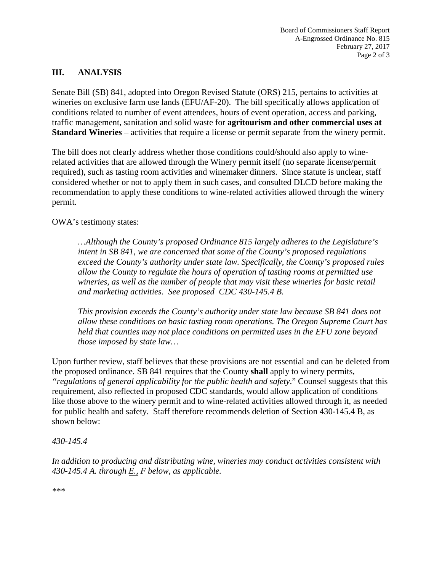## **III. ANALYSIS**

Senate Bill (SB) 841, adopted into Oregon Revised Statute (ORS) 215, pertains to activities at wineries on exclusive farm use lands (EFU/AF-20). The bill specifically allows application of conditions related to number of event attendees, hours of event operation, access and parking, traffic management, sanitation and solid waste for **agritourism and other commercial uses at Standard Wineries** – activities that require a license or permit separate from the winery permit.

The bill does not clearly address whether those conditions could/should also apply to winerelated activities that are allowed through the Winery permit itself (no separate license/permit required), such as tasting room activities and winemaker dinners. Since statute is unclear, staff considered whether or not to apply them in such cases, and consulted DLCD before making the recommendation to apply these conditions to wine-related activities allowed through the winery permit.

OWA's testimony states:

*…Although the County's proposed Ordinance 815 largely adheres to the Legislature's intent in SB 841, we are concerned that some of the County's proposed regulations exceed the County's authority under state law. Specifically, the County's proposed rules allow the County to regulate the hours of operation of tasting rooms at permitted use wineries, as well as the number of people that may visit these wineries for basic retail and marketing activities. See proposed CDC 430-145.4 B.*

*This provision exceeds the County's authority under state law because SB 841 does not allow these conditions on basic tasting room operations. The Oregon Supreme Court has held that counties may not place conditions on permitted uses in the EFU zone beyond those imposed by state law…*

Upon further review, staff believes that these provisions are not essential and can be deleted from the proposed ordinance. SB 841 requires that the County **shall** apply to winery permits*, "regulations of general applicability for the public health and safety*." Counsel suggests that this requirement, also reflected in proposed CDC standards, would allow application of conditions like those above to the winery permit and to wine-related activities allowed through it, as needed for public health and safety. Staff therefore recommends deletion of Section 430-145.4 B, as shown below:

#### *430-145.4*

*In addition to producing and distributing wine, wineries may conduct activities consistent with 430-145.4 A. through E., F below, as applicable.*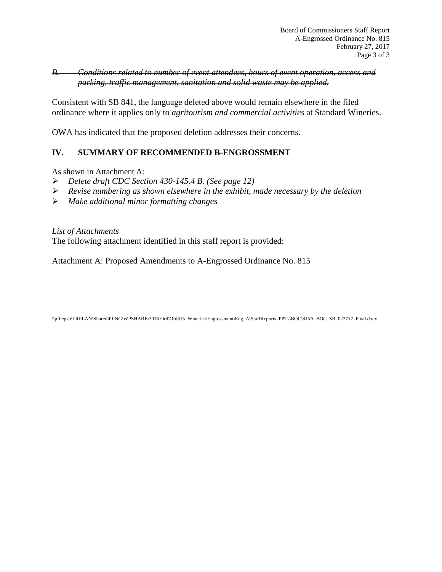## *B. Conditions related to number of event attendees, hours of event operation, access and parking, traffic management, sanitation and solid waste may be applied.*

Consistent with SB 841, the language deleted above would remain elsewhere in the filed ordinance where it applies only to *agritourism and commercial activities* at Standard Wineries.

OWA has indicated that the proposed deletion addresses their concerns.

# **IV. SUMMARY OF RECOMMENDED B-ENGROSSMENT**

As shown in Attachment A:

- *Delete draft CDC Section 430-145.4 B. (See page 12)*
- *Revise numbering as shown elsewhere in the exhibit, made necessary by the deletion*
- *Make additional minor formatting changes*

*List of Attachments* The following attachment identified in this staff report is provided:

Attachment A: Proposed Amendments to A-Engrossed Ordinance No. 815

\\pfilepsb\LRPLAN\Shared\PLNG\WPSHARE\2016 Ord\Ord815\_Wineries\Engrossment\Eng\_A\StaffReports\_PPTs\BOC\815A\_BOC\_SR\_022717\_Final.docx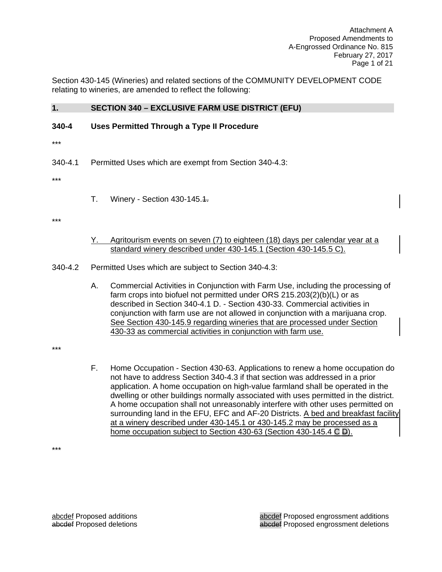Attachment A Proposed Amendments to A-Engrossed Ordinance No. 815 February 27, 2017 Page 1 of 21

Section 430-145 (Wineries) and related sections of the COMMUNITY DEVELOPMENT CODE relating to wineries, are amended to reflect the following:

#### **1. SECTION 340 – EXCLUSIVE FARM USE DISTRICT (EFU)**

#### **340-4 Uses Permitted Through a Type II Procedure**

\*\*\*

340-4.1 Permitted Uses which are exempt from Section 340-4.3:

\*\*\*

T. Winery - Section 430-145.1.

\*\*\*

Y. Agritourism events on seven (7) to eighteen (18) days per calendar year at a standard winery described under 430-145.1 (Section 430-145.5 C).

340-4.2 Permitted Uses which are subject to Section 340-4.3:

A. Commercial Activities in Conjunction with Farm Use, including the processing of farm crops into biofuel not permitted under ORS 215.203(2)(b)(L) or as described in Section 340-4.1 D. - Section 430-33. Commercial activities in conjunction with farm use are not allowed in conjunction with a marijuana crop. See Section 430-145.9 regarding wineries that are processed under Section 430-33 as commercial activities in conjunction with farm use.

\*\*\*

F. Home Occupation - Section 430-63. Applications to renew a home occupation do not have to address Section 340-4.3 if that section was addressed in a prior application. A home occupation on high-value farmland shall be operated in the dwelling or other buildings normally associated with uses permitted in the district. A home occupation shall not unreasonably interfere with other uses permitted on surrounding land in the EFU, EFC and AF-20 Districts. A bed and breakfast facility at a winery described under 430-145.1 or 430-145.2 may be processed as a home occupation subject to Section 430-63 (Section 430-145.4 C D).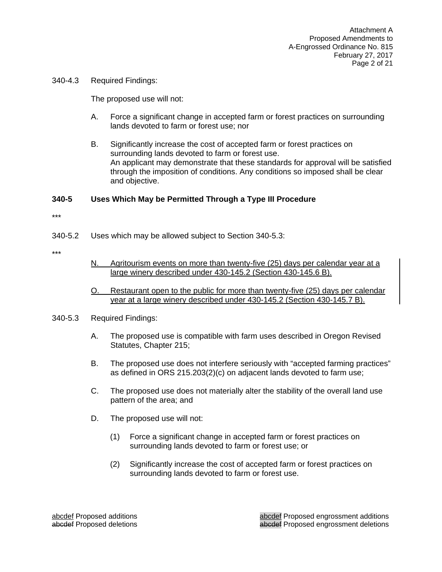340-4.3 Required Findings:

The proposed use will not:

- A. Force a significant change in accepted farm or forest practices on surrounding lands devoted to farm or forest use; nor
- B. Significantly increase the cost of accepted farm or forest practices on surrounding lands devoted to farm or forest use. An applicant may demonstrate that these standards for approval will be satisfied through the imposition of conditions. Any conditions so imposed shall be clear and objective.

#### **340-5 Uses Which May be Permitted Through a Type III Procedure**

- 340-5.2 Uses which may be allowed subject to Section 340-5.3:
- \*\*\*
- N. Agritourism events on more than twenty-five (25) days per calendar year at a large winery described under 430-145.2 (Section 430-145.6 B).
- O. Restaurant open to the public for more than twenty-five (25) days per calendar year at a large winery described under 430-145.2 (Section 430-145.7 B).
- 340-5.3 Required Findings:
	- A. The proposed use is compatible with farm uses described in Oregon Revised Statutes, Chapter 215;
	- B. The proposed use does not interfere seriously with "accepted farming practices" as defined in ORS 215.203(2)(c) on adjacent lands devoted to farm use;
	- C. The proposed use does not materially alter the stability of the overall land use pattern of the area; and
	- D. The proposed use will not:
		- (1) Force a significant change in accepted farm or forest practices on surrounding lands devoted to farm or forest use; or
		- (2) Significantly increase the cost of accepted farm or forest practices on surrounding lands devoted to farm or forest use.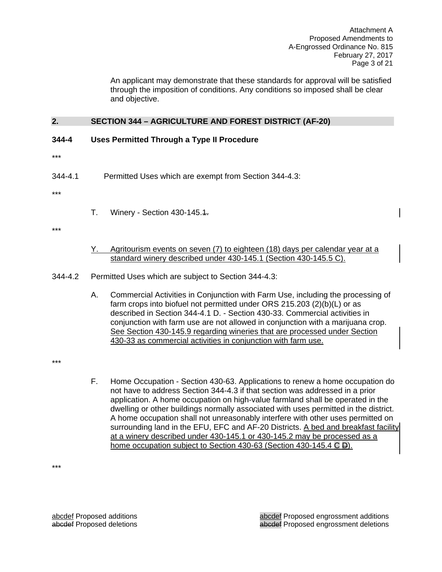An applicant may demonstrate that these standards for approval will be satisfied through the imposition of conditions. Any conditions so imposed shall be clear and objective.

## **2. SECTION 344 – AGRICULTURE AND FOREST DISTRICT (AF-20)**

- **344-4 Uses Permitted Through a Type II Procedure**
- \*\*\*
- 344-4.1 Permitted Uses which are exempt from Section 344-4.3:

\*\*\*

T. Winery - Section 430-145.1.

\*\*\*

Y. Agritourism events on seven (7) to eighteen (18) days per calendar year at a standard winery described under 430-145.1 (Section 430-145.5 C).

344-4.2 Permitted Uses which are subject to Section 344-4.3:

A. Commercial Activities in Conjunction with Farm Use, including the processing of farm crops into biofuel not permitted under ORS 215.203 (2)(b)(L) or as described in Section 344-4.1 D. - Section 430-33. Commercial activities in conjunction with farm use are not allowed in conjunction with a marijuana crop. See Section 430-145.9 regarding wineries that are processed under Section 430-33 as commercial activities in conjunction with farm use.

\*\*\*

F. Home Occupation - Section 430-63. Applications to renew a home occupation do not have to address Section 344-4.3 if that section was addressed in a prior application. A home occupation on high-value farmland shall be operated in the dwelling or other buildings normally associated with uses permitted in the district. A home occupation shall not unreasonably interfere with other uses permitted on surrounding land in the EFU, EFC and AF-20 Districts. A bed and breakfast facility at a winery described under 430-145.1 or 430-145.2 may be processed as a home occupation subject to Section 430-63 (Section 430-145.4 C D).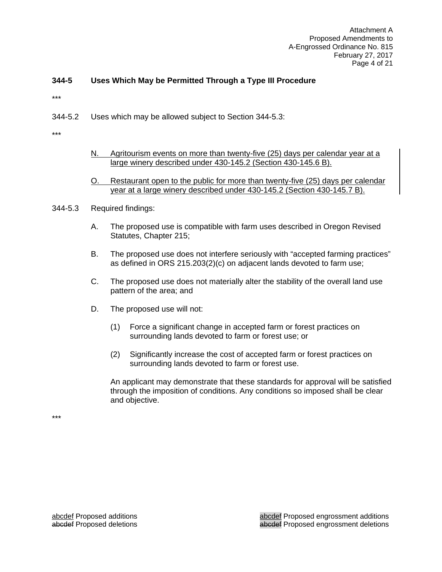Attachment A Proposed Amendments to A-Engrossed Ordinance No. 815 February 27, 2017 Page 4 of 21

## **344-5 Uses Which May be Permitted Through a Type III Procedure**

\*\*\*

344-5.2 Uses which may be allowed subject to Section 344-5.3:

\*\*\*

- N. Agritourism events on more than twenty-five (25) days per calendar year at a large winery described under 430-145.2 (Section 430-145.6 B).
- O. Restaurant open to the public for more than twenty-five (25) days per calendar year at a large winery described under 430-145.2 (Section 430-145.7 B).
- 344-5.3 Required findings:
	- A. The proposed use is compatible with farm uses described in Oregon Revised Statutes, Chapter 215;
	- B. The proposed use does not interfere seriously with "accepted farming practices" as defined in ORS 215.203(2)(c) on adjacent lands devoted to farm use;
	- C. The proposed use does not materially alter the stability of the overall land use pattern of the area; and
	- D. The proposed use will not:
		- (1) Force a significant change in accepted farm or forest practices on surrounding lands devoted to farm or forest use; or
		- (2) Significantly increase the cost of accepted farm or forest practices on surrounding lands devoted to farm or forest use.

An applicant may demonstrate that these standards for approval will be satisfied through the imposition of conditions. Any conditions so imposed shall be clear and objective.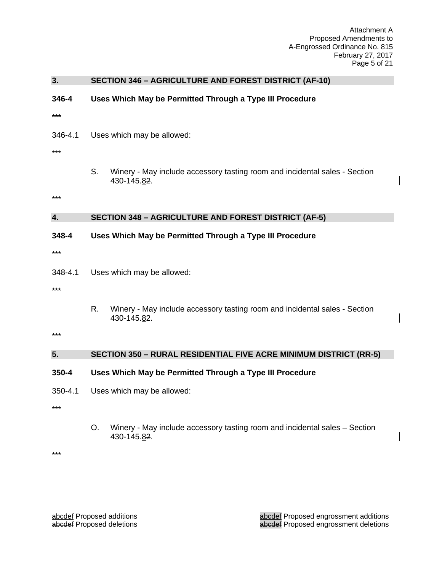Attachment A Proposed Amendments to A-Engrossed Ordinance No. 815 February 27, 2017 Page 5 of 21

| 3.                 |                                                                          | <b>SECTION 346 - AGRICULTURE AND FOREST DISTRICT (AF-10)</b>                              |  |
|--------------------|--------------------------------------------------------------------------|-------------------------------------------------------------------------------------------|--|
| 346-4<br>***       |                                                                          | Uses Which May be Permitted Through a Type III Procedure                                  |  |
| 346-4.1<br>***     | Uses which may be allowed:                                               |                                                                                           |  |
| ***                | S.                                                                       | Winery - May include accessory tasting room and incidental sales - Section<br>430-145.82. |  |
|                    |                                                                          |                                                                                           |  |
| 4.                 |                                                                          | <b>SECTION 348 - AGRICULTURE AND FOREST DISTRICT (AF-5)</b>                               |  |
| 348-4<br>***       |                                                                          | Uses Which May be Permitted Through a Type III Procedure                                  |  |
| 348-4.1<br>***     | Uses which may be allowed:                                               |                                                                                           |  |
|                    | R.                                                                       | Winery - May include accessory tasting room and incidental sales - Section<br>430-145.82. |  |
| $***$              |                                                                          |                                                                                           |  |
| 5.                 | <b>SECTION 350 - RURAL RESIDENTIAL FIVE ACRE MINIMUM DISTRICT (RR-5)</b> |                                                                                           |  |
| 350-4              | Uses Which May be Permitted Through a Type III Procedure                 |                                                                                           |  |
| $350 - 4.1$<br>*** | Uses which may be allowed:                                               |                                                                                           |  |
|                    | O <sub>r</sub>                                                           | Winery - May include accessory tasting room and incidental sales - Section<br>430-145.82. |  |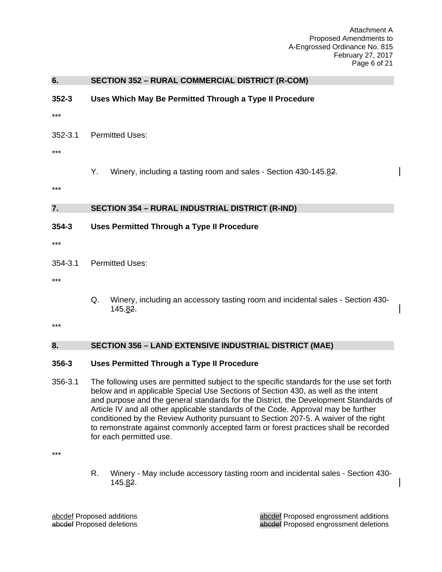Attachment A Proposed Amendments to A-Engrossed Ordinance No. 815 February 27, 2017 Page 6 of 21

| 6.      | <b>SECTION 352 - RURAL COMMERCIAL DISTRICT (R-COM)</b>                                                                                                                         |  |  |  |
|---------|--------------------------------------------------------------------------------------------------------------------------------------------------------------------------------|--|--|--|
| 352-3   | Uses Which May Be Permitted Through a Type II Procedure                                                                                                                        |  |  |  |
| ***     |                                                                                                                                                                                |  |  |  |
| 352-3.1 | <b>Permitted Uses:</b>                                                                                                                                                         |  |  |  |
| ***     |                                                                                                                                                                                |  |  |  |
|         | Υ.<br>Winery, including a tasting room and sales - Section 430-145.82.                                                                                                         |  |  |  |
| ***     |                                                                                                                                                                                |  |  |  |
| 7.      | <b>SECTION 354 - RURAL INDUSTRIAL DISTRICT (R-IND)</b>                                                                                                                         |  |  |  |
| 354-3   | <b>Uses Permitted Through a Type II Procedure</b>                                                                                                                              |  |  |  |
| ***     |                                                                                                                                                                                |  |  |  |
| 354-3.1 | <b>Permitted Uses:</b>                                                                                                                                                         |  |  |  |
| ***     |                                                                                                                                                                                |  |  |  |
|         | Q.<br>Winery, including an accessory tasting room and incidental sales - Section 430-<br>145.82.                                                                               |  |  |  |
| ***     |                                                                                                                                                                                |  |  |  |
| 8.      | <b>SECTION 356 - LAND EXTENSIVE INDUSTRIAL DISTRICT (MAE)</b>                                                                                                                  |  |  |  |
| 356-3   | <b>Uses Permitted Through a Type II Procedure</b>                                                                                                                              |  |  |  |
| 356-3.1 | The following uses are permitted subject to the specific standards for the use set forth<br>below and in applicable Special Use Sections of Section 430, as well as the intent |  |  |  |

and purpose and the general standards for the District, the Development Standards of Article IV and all other applicable standards of the Code. Approval may be further conditioned by the Review Authority pursuant to Section 207-5. A waiver of the right to remonstrate against commonly accepted farm or forest practices shall be recorded for each permitted use.

\*\*\*

R. Winery - May include accessory tasting room and incidental sales - Section 430- 145.82.

abcdef Proposed additions<br>
abcdef Proposed deletions<br>
abcdef Proposed engrossment deletions<br>
abcdef Proposed engrossment deletions abcdef Proposed engrossment deletions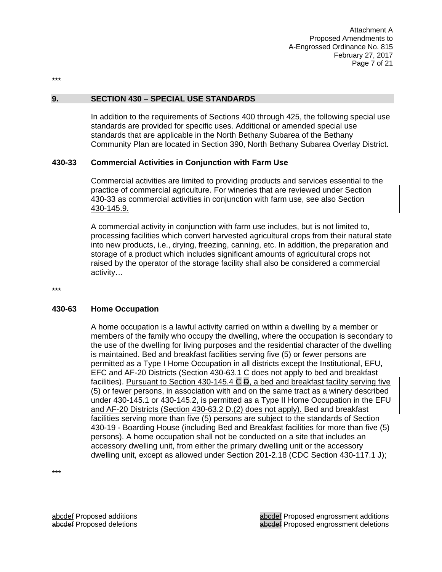\*\*\*

#### **9. SECTION 430 – SPECIAL USE STANDARDS**

In addition to the requirements of Sections 400 through 425, the following special use standards are provided for specific uses. Additional or amended special use standards that are applicable in the North Bethany Subarea of the Bethany Community Plan are located in Section 390, North Bethany Subarea Overlay District.

#### **430-33 Commercial Activities in Conjunction with Farm Use**

Commercial activities are limited to providing products and services essential to the practice of commercial agriculture. For wineries that are reviewed under Section 430-33 as commercial activities in conjunction with farm use, see also Section 430-145.9.

A commercial activity in conjunction with farm use includes, but is not limited to, processing facilities which convert harvested agricultural crops from their natural state into new products, i.e., drying, freezing, canning, etc. In addition, the preparation and storage of a product which includes significant amounts of agricultural crops not raised by the operator of the storage facility shall also be considered a commercial activity…

\*\*\*

#### **430-63 Home Occupation**

A home occupation is a lawful activity carried on within a dwelling by a member or members of the family who occupy the dwelling, where the occupation is secondary to the use of the dwelling for living purposes and the residential character of the dwelling is maintained. Bed and breakfast facilities serving five (5) or fewer persons are permitted as a Type I Home Occupation in all districts except the Institutional, EFU, EFC and AF-20 Districts (Section 430-63.1 C does not apply to bed and breakfast facilities). Pursuant to Section 430-145.4 C  $\Box$ , a bed and breakfast facility serving five (5) or fewer persons, in association with and on the same tract as a winery described under 430-145.1 or 430-145.2, is permitted as a Type II Home Occupation in the EFU and AF-20 Districts (Section 430-63.2 D.(2) does not apply). Bed and breakfast facilities serving more than five (5) persons are subject to the standards of Section 430-19 - Boarding House (including Bed and Breakfast facilities for more than five (5) persons). A home occupation shall not be conducted on a site that includes an accessory dwelling unit, from either the primary dwelling unit or the accessory dwelling unit, except as allowed under Section 201-2.18 (CDC Section 430-117.1 J);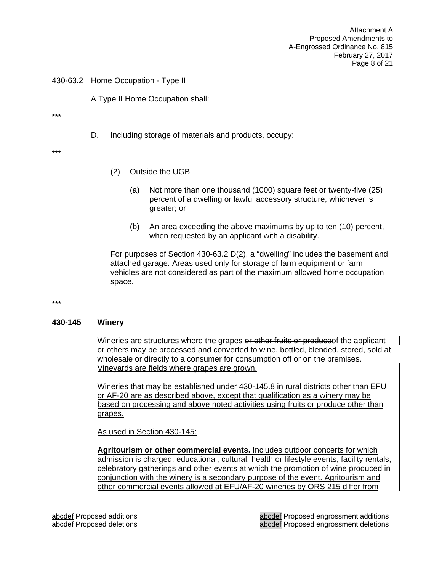Attachment A Proposed Amendments to A-Engrossed Ordinance No. 815 February 27, 2017 Page 8 of 21

430-63.2 Home Occupation - Type II

A Type II Home Occupation shall:

\*\*\*

D. Including storage of materials and products, occupy:

\*\*\*

- (2) Outside the UGB
	- (a) Not more than one thousand (1000) square feet or twenty-five (25) percent of a dwelling or lawful accessory structure, whichever is greater; or
	- (b) An area exceeding the above maximums by up to ten (10) percent, when requested by an applicant with a disability.

For purposes of Section 430-63.2 D(2), a "dwelling" includes the basement and attached garage. Areas used only for storage of farm equipment or farm vehicles are not considered as part of the maximum allowed home occupation space.

\*\*\*

#### **430-145 Winery**

Wineries are structures where the grapes or other fruits or produce of the applicant or others may be processed and converted to wine, bottled, blended, stored, sold at wholesale or directly to a consumer for consumption off or on the premises. Vineyards are fields where grapes are grown.

Wineries that may be established under 430-145.8 in rural districts other than EFU or AF-20 are as described above, except that qualification as a winery may be based on processing and above noted activities using fruits or produce other than grapes.

As used in Section 430-145:

**Agritourism or other commercial events.** Includes outdoor concerts for which admission is charged, educational, cultural, health or lifestyle events, facility rentals, celebratory gatherings and other events at which the promotion of wine produced in conjunction with the winery is a secondary purpose of the event. Agritourism and other commercial events allowed at EFU/AF-20 wineries by ORS 215 differ from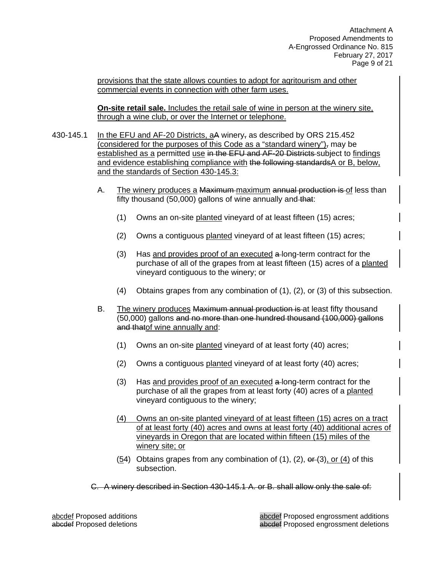provisions that the state allows counties to adopt for agritourism and other commercial events in connection with other farm uses.

**On-site retail sale.** Includes the retail sale of wine in person at the winery site, through a wine club, or over the Internet or telephone.

- 430-145.1 In the EFU and AF-20 Districts, aA winery, as described by ORS 215.452 (considered for the purposes of this Code as a "standard winery"), may be established as a permitted use in the EFU and AF-20 Districts subject to findings and evidence establishing compliance with the following standards A or B, below, and the standards of Section 430-145.3:
	- A. The winery produces a Maximum maximum annual production is of less than fifty thousand (50,000) gallons of wine annually and that:
		- (1) Owns an on-site planted vineyard of at least fifteen (15) acres;
		- (2) Owns a contiguous planted vineyard of at least fifteen (15) acres;
		- (3) Has and provides proof of an executed a-long-term contract for the purchase of all of the grapes from at least fifteen (15) acres of a planted vineyard contiguous to the winery; or
		- (4) Obtains grapes from any combination of (1), (2), or (3) of this subsection.
	- B. The winery produces Maximum annual production is at least fifty thousand (50,000) gallons and no more than one hundred thousand (100,000) gallons and thatof wine annually and:
		- (1) Owns an on-site planted vineyard of at least forty (40) acres;
		- (2) Owns a contiguous planted vineyard of at least forty (40) acres;
		- (3) Has and provides proof of an executed a long-term contract for the purchase of all the grapes from at least forty (40) acres of a planted vineyard contiguous to the winery;
		- (4) Owns an on-site planted vineyard of at least fifteen (15) acres on a tract of at least forty (40) acres and owns at least forty (40) additional acres of vineyards in Oregon that are located within fifteen (15) miles of the winery site; or
		- (54) Obtains grapes from any combination of (1), (2),  $er(3)$ , or (4) of this subsection.
	- C. A winery described in Section 430-145.1 A. or B. shall allow only the sale of:

abcdef Proposed additions abcdef Proposed engrossment additions abcdef Proposed deletions abcdef Proposed engrossment deletions abcdef Proposed engrossment deletions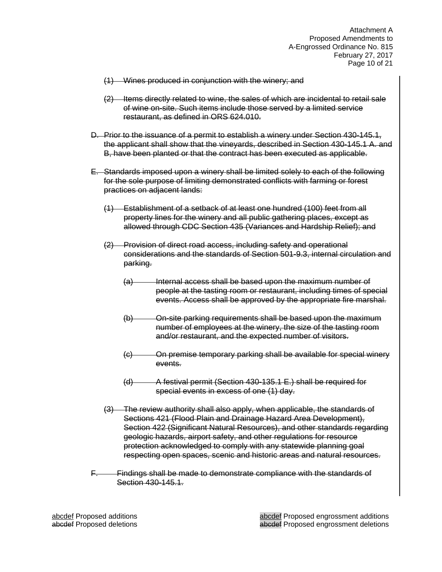Attachment A Proposed Amendments to A-Engrossed Ordinance No. 815 February 27, 2017 Page 10 of 21

- (1) Wines produced in conjunction with the winery; and
- (2) Items directly related to wine, the sales of which are incidental to retail sale of wine on-site. Such items include those served by a limited service restaurant, as defined in ORS 624.010.
- D. Prior to the issuance of a permit to establish a winery under Section 430-145.1, the applicant shall show that the vineyards, described in Section 430-145.1 A. and B, have been planted or that the contract has been executed as applicable.
- E. Standards imposed upon a winery shall be limited solely to each of the following for the sole purpose of limiting demonstrated conflicts with farming or forest practices on adjacent lands:
	- (1) Establishment of a setback of at least one hundred (100) feet from all property lines for the winery and all public gathering places, except as allowed through CDC Section 435 (Variances and Hardship Relief); and
	- (2) Provision of direct road access, including safety and operational considerations and the standards of Section 501-9.3, internal circulation and parking.
		- (a) Internal access shall be based upon the maximum number of people at the tasting room or restaurant, including times of special events. Access shall be approved by the appropriate fire marshal.
		- (b) On-site parking requirements shall be based upon the maximum number of employees at the winery, the size of the tasting room and/or restaurant, and the expected number of visitors.
		- (c) On premise temporary parking shall be available for special winery events.
		- (d) A festival permit (Section 430-135.1 E.) shall be required for special events in excess of one (1) day.
	- The review authority shall also apply, when applicable, the standards of Sections 421 (Flood Plain and Drainage Hazard Area Development), Section 422 (Significant Natural Resources), and other standards regarding geologic hazards, airport safety, and other regulations for resource protection acknowledged to comply with any statewide planning goal respecting open spaces, scenic and historic areas and natural resources.
- F. Findings shall be made to demonstrate compliance with the standards of Section 430-145.1.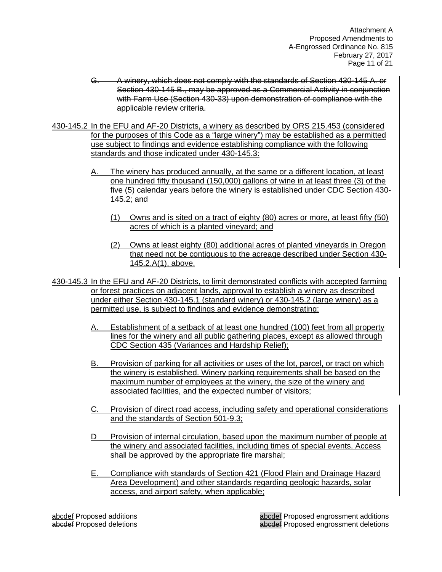Attachment A Proposed Amendments to A-Engrossed Ordinance No. 815 February 27, 2017 Page 11 of 21

- G. A winery, which does not comply with the standards of Section 430-145 A. or Section 430-145 B., may be approved as a Commercial Activity in conjunction with Farm Use (Section 430-33) upon demonstration of compliance with the applicable review criteria.
- 430-145.2 In the EFU and AF-20 Districts, a winery as described by ORS 215.453 (considered for the purposes of this Code as a "large winery") may be established as a permitted use subject to findings and evidence establishing compliance with the following standards and those indicated under 430-145.3:
	- A. The winery has produced annually, at the same or a different location, at least one hundred fifty thousand (150,000) gallons of wine in at least three (3) of the five (5) calendar years before the winery is established under CDC Section 430- 145.2; and
		- (1) Owns and is sited on a tract of eighty (80) acres or more, at least fifty (50) acres of which is a planted vineyard; and
		- (2) Owns at least eighty (80) additional acres of planted vineyards in Oregon that need not be contiguous to the acreage described under Section 430- 145.2.A(1), above.
- 430-145.3 In the EFU and AF-20 Districts, to limit demonstrated conflicts with accepted farming or forest practices on adjacent lands, approval to establish a winery as described under either Section 430-145.1 (standard winery) or 430-145.2 (large winery) as a permitted use, is subject to findings and evidence demonstrating:
	- A. Establishment of a setback of at least one hundred (100) feet from all property lines for the winery and all public gathering places, except as allowed through CDC Section 435 (Variances and Hardship Relief);
	- B. Provision of parking for all activities or uses of the lot, parcel, or tract on which the winery is established. Winery parking requirements shall be based on the maximum number of employees at the winery, the size of the winery and associated facilities, and the expected number of visitors;
	- C. Provision of direct road access, including safety and operational considerations and the standards of Section 501-9.3;
	- D Provision of internal circulation, based upon the maximum number of people at the winery and associated facilities, including times of special events. Access shall be approved by the appropriate fire marshal;
	- E. Compliance with standards of Section 421 (Flood Plain and Drainage Hazard Area Development) and other standards regarding geologic hazards, solar access, and airport safety, when applicable;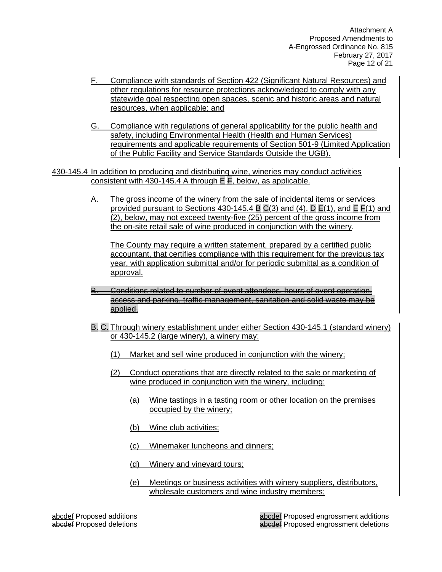Attachment A Proposed Amendments to A-Engrossed Ordinance No. 815 February 27, 2017 Page 12 of 21

- F. Compliance with standards of Section 422 (Significant Natural Resources) and other regulations for resource protections acknowledged to comply with any statewide goal respecting open spaces, scenic and historic areas and natural resources, when applicable; and
- G. Compliance with regulations of general applicability for the public health and safety, including Environmental Health (Health and Human Services) requirements and applicable requirements of Section 501-9 (Limited Application of the Public Facility and Service Standards Outside the UGB).

430-145.4 In addition to producing and distributing wine, wineries may conduct activities consistent with 430-145.4 A through  $E \overline{F}$ , below, as applicable.

> The gross income of the winery from the sale of incidental items or services provided pursuant to Sections 430-145.4 B  $\mathsf{G}(3)$  and  $(4)$ , D  $\mathsf{E}(1)$ , and E  $\mathsf{E}(1)$  and (2), below, may not exceed twenty-five (25) percent of the gross income from the on-site retail sale of wine produced in conjunction with the winery.

The County may require a written statement, prepared by a certified public accountant, that certifies compliance with this requirement for the previous tax year, with application submittal and/or for periodic submittal as a condition of approval.

- B. Conditions related to number of event attendees, hours of event operation, access and parking, traffic management, sanitation and solid waste may be applied.
- B. C. Through winery establishment under either Section 430-145.1 (standard winery) or 430-145.2 (large winery), a winery may:
	- (1) Market and sell wine produced in conjunction with the winery;
	- (2) Conduct operations that are directly related to the sale or marketing of wine produced in conjunction with the winery, including:
		- (a) Wine tastings in a tasting room or other location on the premises occupied by the winery;
		- (b) Wine club activities;
		- (c) Winemaker luncheons and dinners;
		- (d) Winery and vineyard tours;
		- (e) Meetings or business activities with winery suppliers, distributors, wholesale customers and wine industry members;

abcdef Proposed additions abcdef Proposed engrossment additions abcdef Proposed deletions abcdef Proposed engrossment deletions abcdef Proposed engrossment deletions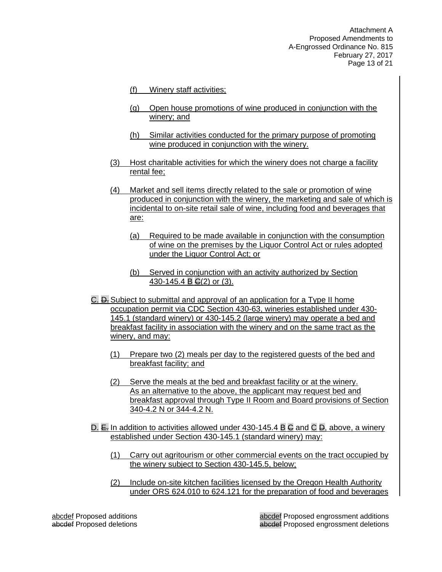Attachment A Proposed Amendments to A-Engrossed Ordinance No. 815 February 27, 2017 Page 13 of 21

- (f) Winery staff activities;
- (g) Open house promotions of wine produced in conjunction with the winery; and
- (h) Similar activities conducted for the primary purpose of promoting wine produced in conjunction with the winery.
- (3) Host charitable activities for which the winery does not charge a facility rental fee;
- (4) Market and sell items directly related to the sale or promotion of wine produced in conjunction with the winery, the marketing and sale of which is incidental to on-site retail sale of wine, including food and beverages that are:
	- (a) Required to be made available in conjunction with the consumption of wine on the premises by the Liquor Control Act or rules adopted under the Liquor Control Act; or
	- (b) Served in conjunction with an activity authorized by Section 430-145.4 B  $G(2)$  or (3).
- C. D. Subject to submittal and approval of an application for a Type II home occupation permit via CDC Section 430-63, wineries established under 430- 145.1 (standard winery) or 430-145.2 (large winery) may operate a bed and breakfast facility in association with the winery and on the same tract as the winery, and may:
	- (1) Prepare two (2) meals per day to the registered guests of the bed and breakfast facility; and
	- (2) Serve the meals at the bed and breakfast facility or at the winery. As an alternative to the above, the applicant may request bed and breakfast approval through Type II Room and Board provisions of Section 340-4.2 N or 344-4.2 N.
- D.  $E$ . In addition to activities allowed under 430-145.4 B  $\bigoplus$  and C  $\bigoplus$ , above, a winery established under Section 430-145.1 (standard winery) may:
	- (1) Carry out agritourism or other commercial events on the tract occupied by the winery subject to Section 430-145.5, below;
	- (2) Include on-site kitchen facilities licensed by the Oregon Health Authority under ORS 624.010 to 624.121 for the preparation of food and beverages

abcdef Proposed additions abcdef Proposed engrossment additions abcdef Proposed deletions abcdef Proposed engrossment deletions abcdef Proposed engrossment deletions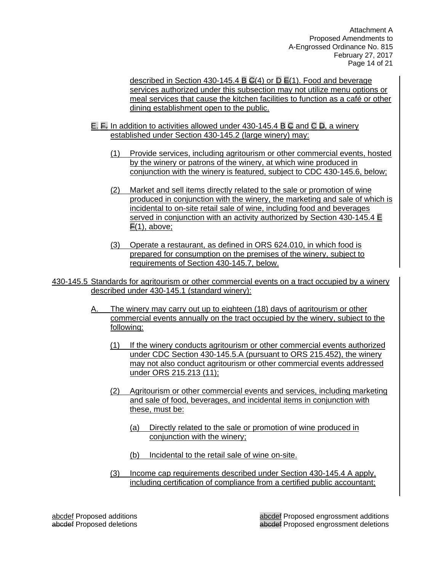Attachment A Proposed Amendments to A-Engrossed Ordinance No. 815 February 27, 2017 Page 14 of 21

described in Section 430-145.4 B  $G(4)$  or D  $E(1)$ . Food and beverage services authorized under this subsection may not utilize menu options or meal services that cause the kitchen facilities to function as a café or other dining establishment open to the public.

- E. F. In addition to activities allowed under 430-145.4 B C and C D, a winery established under Section 430-145.2 (large winery) may:
	- (1) Provide services, including agritourism or other commercial events, hosted by the winery or patrons of the winery, at which wine produced in conjunction with the winery is featured, subject to CDC 430-145.6, below;
	- (2) Market and sell items directly related to the sale or promotion of wine produced in conjunction with the winery, the marketing and sale of which is incidental to on-site retail sale of wine, including food and beverages served in conjunction with an activity authorized by Section 430-145.4 E  $F(1)$ , above;
	- (3) Operate a restaurant, as defined in ORS 624.010, in which food is prepared for consumption on the premises of the winery, subject to requirements of Section 430-145.7, below.

430-145.5 Standards for agritourism or other commercial events on a tract occupied by a winery described under 430-145.1 (standard winery):

- A. The winery may carry out up to eighteen (18) days of agritourism or other commercial events annually on the tract occupied by the winery, subject to the following:
	- (1) If the winery conducts agritourism or other commercial events authorized under CDC Section 430-145.5.A (pursuant to ORS 215.452), the winery may not also conduct agritourism or other commercial events addressed under ORS 215.213 (11);
	- (2) Agritourism or other commercial events and services, including marketing and sale of food, beverages, and incidental items in conjunction with these, must be:
		- (a) Directly related to the sale or promotion of wine produced in conjunction with the winery;
		- (b) Incidental to the retail sale of wine on-site.
	- (3) Income cap requirements described under Section 430-145.4 A apply, including certification of compliance from a certified public accountant;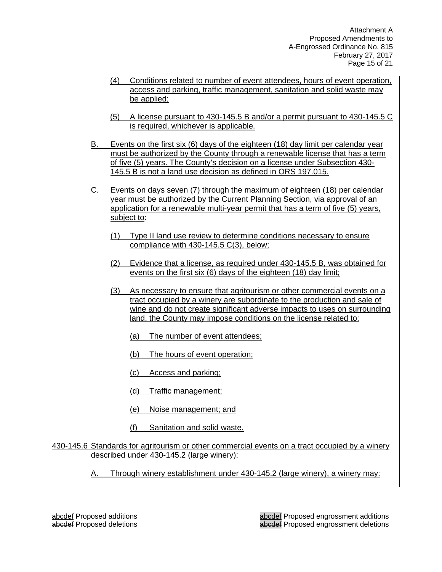Attachment A Proposed Amendments to A-Engrossed Ordinance No. 815 February 27, 2017 Page 15 of 21

- (4) Conditions related to number of event attendees, hours of event operation, access and parking, traffic management, sanitation and solid waste may be applied;
- (5) A license pursuant to 430-145.5 B and/or a permit pursuant to 430-145.5 C is required, whichever is applicable.
- B. Events on the first six (6) days of the eighteen (18) day limit per calendar year must be authorized by the County through a renewable license that has a term of five (5) years. The County's decision on a license under Subsection 430- 145.5 B is not a land use decision as defined in ORS 197.015.
- C. Events on days seven (7) through the maximum of eighteen (18) per calendar year must be authorized by the Current Planning Section, via approval of an application for a renewable multi-year permit that has a term of five (5) years, subject to:
	- (1) Type II land use review to determine conditions necessary to ensure compliance with 430-145.5 C(3), below;
	- (2) Evidence that a license, as required under 430-145.5 B, was obtained for events on the first six (6) days of the eighteen (18) day limit;
	- (3) As necessary to ensure that agritourism or other commercial events on a tract occupied by a winery are subordinate to the production and sale of wine and do not create significant adverse impacts to uses on surrounding land, the County may impose conditions on the license related to:
		- (a) The number of event attendees;
		- (b) The hours of event operation;
		- (c) Access and parking;
		- (d) Traffic management;
		- (e) Noise management; and
		- (f) Sanitation and solid waste.

#### 430-145.6 Standards for agritourism or other commercial events on a tract occupied by a winery described under 430-145.2 (large winery):

A. Through winery establishment under 430-145.2 (large winery), a winery may: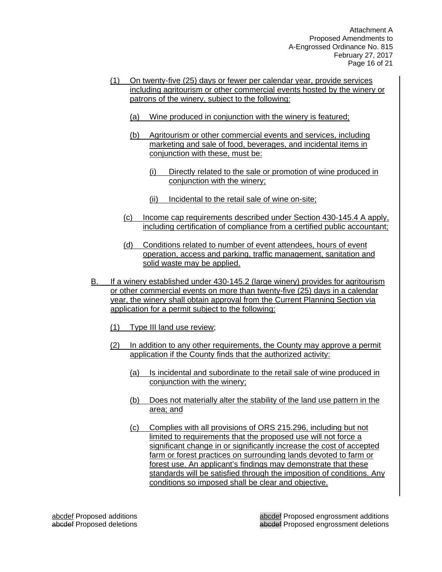- (1) On twenty-five (25) days or fewer per calendar year, provide services including agritourism or other commercial events hosted by the winery or patrons of the winery, subject to the following:
	- (a) Wine produced in conjunction with the winery is featured;
	- (b) Agritourism or other commercial events and services, including marketing and sale of food, beverages, and incidental items in conjunction with these, must be:
		- (i) Directly related to the sale or promotion of wine produced in conjunction with the winery;
		- (ii) Incidental to the retail sale of wine on-site;
	- (c) Income cap requirements described under Section 430-145.4 A apply, including certification of compliance from a certified public accountant;
	- (d) Conditions related to number of event attendees, hours of event operation, access and parking, traffic management, sanitation and solid waste may be applied.
- B. If a winery established under 430-145.2 (large winery) provides for agritourism or other commercial events on more than twenty-five (25) days in a calendar year, the winery shall obtain approval from the Current Planning Section via application for a permit subject to the following:
	- (1) Type III land use review;
	- (2) In addition to any other requirements, the County may approve a permit application if the County finds that the authorized activity:
		- (a) Is incidental and subordinate to the retail sale of wine produced in conjunction with the winery;
		- (b) Does not materially alter the stability of the land use pattern in the area; and
		- (c) Complies with all provisions of ORS 215.296, including but not limited to requirements that the proposed use will not force a significant change in or significantly increase the cost of accepted farm or forest practices on surrounding lands devoted to farm or forest use. An applicant's findings may demonstrate that these standards will be satisfied through the imposition of conditions. Any conditions so imposed shall be clear and objective.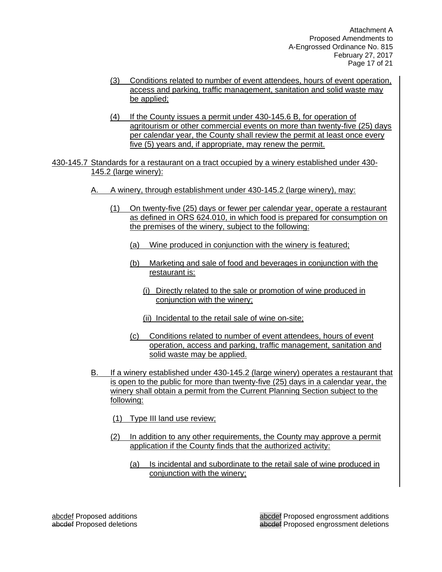Attachment A Proposed Amendments to A-Engrossed Ordinance No. 815 February 27, 2017 Page 17 of 21

- (3) Conditions related to number of event attendees, hours of event operation, access and parking, traffic management, sanitation and solid waste may be applied;
- (4) If the County issues a permit under 430-145.6 B, for operation of agritourism or other commercial events on more than twenty-five (25) days per calendar year, the County shall review the permit at least once every five (5) years and, if appropriate, may renew the permit.
- 430-145.7 Standards for a restaurant on a tract occupied by a winery established under 430- 145.2 (large winery):
	- A. A winery, through establishment under 430-145.2 (large winery), may:
		- (1) On twenty-five (25) days or fewer per calendar year, operate a restaurant as defined in ORS 624.010, in which food is prepared for consumption on the premises of the winery, subject to the following:
			- (a) Wine produced in conjunction with the winery is featured;
			- (b) Marketing and sale of food and beverages in conjunction with the restaurant is:
				- (i) Directly related to the sale or promotion of wine produced in conjunction with the winery;
				- (ii) Incidental to the retail sale of wine on-site;
			- (c) Conditions related to number of event attendees, hours of event operation, access and parking, traffic management, sanitation and solid waste may be applied.
	- B. If a winery established under 430-145.2 (large winery) operates a restaurant that is open to the public for more than twenty-five (25) days in a calendar year, the winery shall obtain a permit from the Current Planning Section subject to the following:
		- (1) Type III land use review;
		- (2) In addition to any other requirements, the County may approve a permit application if the County finds that the authorized activity:
			- (a) Is incidental and subordinate to the retail sale of wine produced in conjunction with the winery;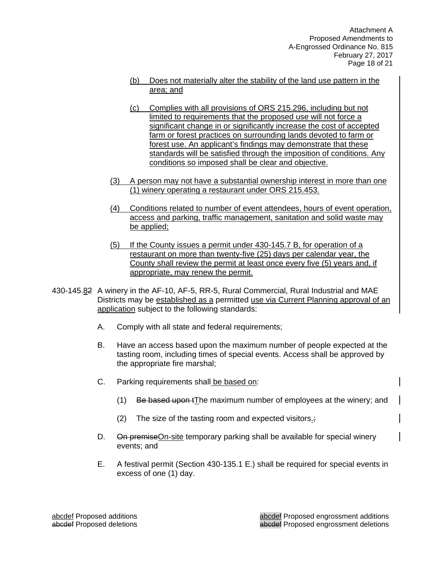- (b) Does not materially alter the stability of the land use pattern in the area; and
- (c) Complies with all provisions of ORS 215.296, including but not limited to requirements that the proposed use will not force a significant change in or significantly increase the cost of accepted farm or forest practices on surrounding lands devoted to farm or forest use. An applicant's findings may demonstrate that these standards will be satisfied through the imposition of conditions. Any conditions so imposed shall be clear and objective.
- (3) A person may not have a substantial ownership interest in more than one (1) winery operating a restaurant under ORS 215.453.
- (4) Conditions related to number of event attendees, hours of event operation, access and parking, traffic management, sanitation and solid waste may be applied;
- (5) If the County issues a permit under 430-145.7 B, for operation of a restaurant on more than twenty-five (25) days per calendar year, the County shall review the permit at least once every five (5) years and, if appropriate, may renew the permit.
- 430-145.82 A winery in the AF-10, AF-5, RR-5, Rural Commercial, Rural Industrial and MAE Districts may be established as a permitted use via Current Planning approval of an application subject to the following standards:
	- A. Comply with all state and federal requirements;
	- B. Have an access based upon the maximum number of people expected at the tasting room, including times of special events. Access shall be approved by the appropriate fire marshal;
	- C. Parking requirements shall be based on:
		- (1) Be based upon tThe maximum number of employees at the winery; and
		- (2) The size of the tasting room and expected visitors. $\frac{1}{2}$
	- D. On premise On-site temporary parking shall be available for special winery events; and
	- E. A festival permit (Section 430-135.1 E.) shall be required for special events in excess of one (1) day.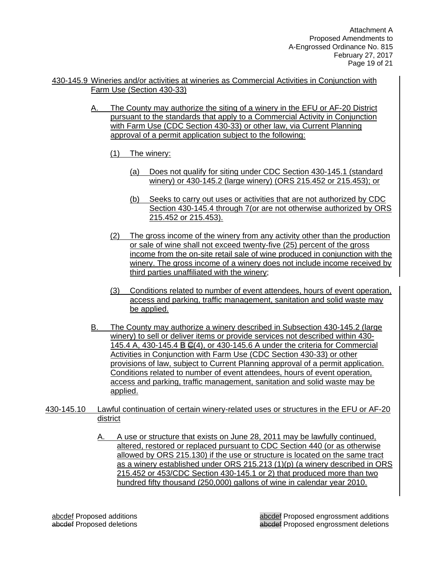- 430-145.9 Wineries and/or activities at wineries as Commercial Activities in Conjunction with Farm Use (Section 430-33)
	- A. The County may authorize the siting of a winery in the EFU or AF-20 District pursuant to the standards that apply to a Commercial Activity in Conjunction with Farm Use (CDC Section 430-33) or other law, via Current Planning approval of a permit application subject to the following:
		- (1) The winery:
			- (a) Does not qualify for siting under CDC Section 430-145.1 (standard winery) or 430-145.2 (large winery) (ORS 215.452 or 215.453); or
			- (b) Seeks to carry out uses or activities that are not authorized by CDC Section 430-145.4 through 7(or are not otherwise authorized by ORS 215.452 or 215.453).
		- (2) The gross income of the winery from any activity other than the production or sale of wine shall not exceed twenty-five (25) percent of the gross income from the on-site retail sale of wine produced in conjunction with the winery. The gross income of a winery does not include income received by third parties unaffiliated with the winery;
		- (3) Conditions related to number of event attendees, hours of event operation, access and parking, traffic management, sanitation and solid waste may be applied.
	- B. The County may authorize a winery described in Subsection 430-145.2 (large winery) to sell or deliver items or provide services not described within 430- 145.4 A, 430-145.4 B C(4), or 430-145.6 A under the criteria for Commercial Activities in Conjunction with Farm Use (CDC Section 430-33) or other provisions of law, subject to Current Planning approval of a permit application. Conditions related to number of event attendees, hours of event operation, access and parking, traffic management, sanitation and solid waste may be applied.
- 430-145.10 Lawful continuation of certain winery-related uses or structures in the EFU or AF-20 district
	- A. A use or structure that exists on June 28, 2011 may be lawfully continued, altered, restored or replaced pursuant to CDC Section 440 (or as otherwise allowed by ORS 215.130) if the use or structure is located on the same tract as a winery established under ORS 215.213 (1)(p) (a winery described in ORS 215.452 or 453/CDC Section 430-145.1 or 2) that produced more than two hundred fifty thousand (250,000) gallons of wine in calendar year 2010.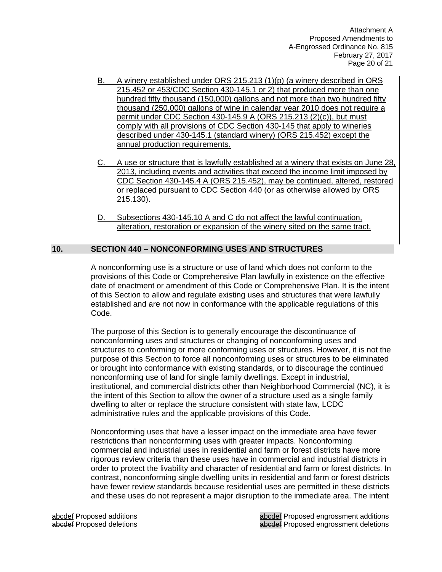Attachment A Proposed Amendments to A-Engrossed Ordinance No. 815 February 27, 2017 Page 20 of 21

- B. A winery established under ORS 215.213 (1)(p) (a winery described in ORS 215.452 or 453/CDC Section 430-145.1 or 2) that produced more than one hundred fifty thousand (150,000) gallons and not more than two hundred fifty thousand (250,000) gallons of wine in calendar year 2010 does not require a permit under CDC Section 430-145.9 A (ORS 215.213 (2)(c)), but must comply with all provisions of CDC Section 430-145 that apply to wineries described under 430-145.1 (standard winery) (ORS 215.452) except the annual production requirements.
- C. A use or structure that is lawfully established at a winery that exists on June 28, 2013, including events and activities that exceed the income limit imposed by CDC Section 430-145.4 A (ORS 215.452), may be continued, altered, restored or replaced pursuant to CDC Section 440 (or as otherwise allowed by ORS 215.130).
- D. Subsections 430-145.10 A and C do not affect the lawful continuation, alteration, restoration or expansion of the winery sited on the same tract.

#### **10. SECTION 440 – NONCONFORMING USES AND STRUCTURES**

A nonconforming use is a structure or use of land which does not conform to the provisions of this Code or Comprehensive Plan lawfully in existence on the effective date of enactment or amendment of this Code or Comprehensive Plan. It is the intent of this Section to allow and regulate existing uses and structures that were lawfully established and are not now in conformance with the applicable regulations of this Code.

The purpose of this Section is to generally encourage the discontinuance of nonconforming uses and structures or changing of nonconforming uses and structures to conforming or more conforming uses or structures. However, it is not the purpose of this Section to force all nonconforming uses or structures to be eliminated or brought into conformance with existing standards, or to discourage the continued nonconforming use of land for single family dwellings. Except in industrial, institutional, and commercial districts other than Neighborhood Commercial (NC), it is the intent of this Section to allow the owner of a structure used as a single family dwelling to alter or replace the structure consistent with state law, LCDC administrative rules and the applicable provisions of this Code.

Nonconforming uses that have a lesser impact on the immediate area have fewer restrictions than nonconforming uses with greater impacts. Nonconforming commercial and industrial uses in residential and farm or forest districts have more rigorous review criteria than these uses have in commercial and industrial districts in order to protect the livability and character of residential and farm or forest districts. In contrast, nonconforming single dwelling units in residential and farm or forest districts have fewer review standards because residential uses are permitted in these districts and these uses do not represent a major disruption to the immediate area. The intent

abcdef Proposed additions abcdef Proposed engrossment additions abcdef Proposed deletions abcdef Proposed engrossment deletions abcdef Proposed engrossment deletions